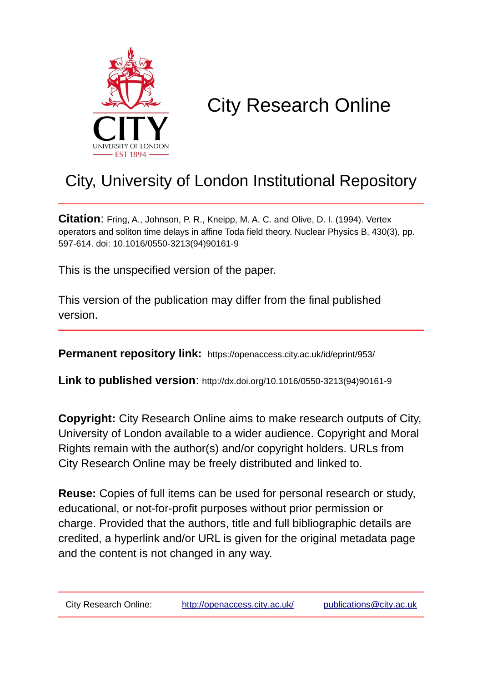

# City Research Online

## City, University of London Institutional Repository

**Citation**: Fring, A., Johnson, P. R., Kneipp, M. A. C. and Olive, D. I. (1994). Vertex operators and soliton time delays in affine Toda field theory. Nuclear Physics B, 430(3), pp. 597-614. doi: 10.1016/0550-3213(94)90161-9

This is the unspecified version of the paper.

This version of the publication may differ from the final published version.

**Permanent repository link:** https://openaccess.city.ac.uk/id/eprint/953/

**Link to published version**: http://dx.doi.org/10.1016/0550-3213(94)90161-9

**Copyright:** City Research Online aims to make research outputs of City, University of London available to a wider audience. Copyright and Moral Rights remain with the author(s) and/or copyright holders. URLs from City Research Online may be freely distributed and linked to.

**Reuse:** Copies of full items can be used for personal research or study, educational, or not-for-profit purposes without prior permission or charge. Provided that the authors, title and full bibliographic details are credited, a hyperlink and/or URL is given for the original metadata page and the content is not changed in any way.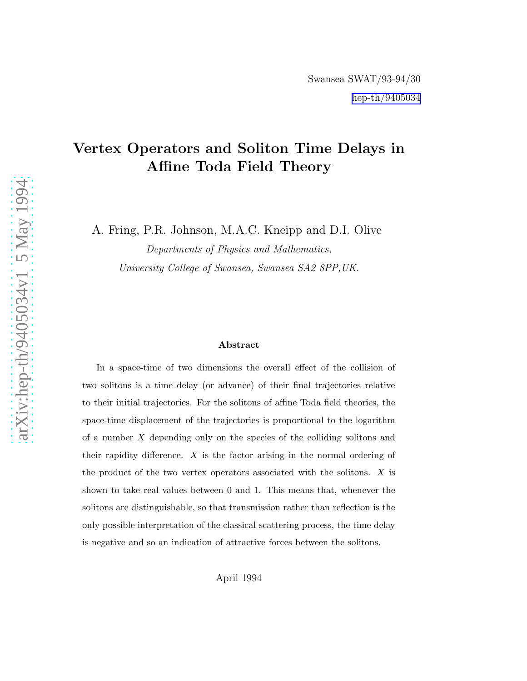### Vertex Operators and Soliton Time Delays in Affine Toda Field Theory

A. Fring, P.R. Johnson, M.A.C. Kneipp and D.I. Olive

Departments of Physics and Mathematics, University College of Swansea, Swansea SA2 8PP,UK.

#### Abstract

In a space-time of two dimensions the overall effect of the collision of two solitons is a time delay (or advance) of their final trajectories relative to their initial trajectories. For the solitons of affine Toda field theories, the space-time displacement of the trajectories is proportional to the logarithm of a number X depending only on the species of the colliding solitons and their rapidity difference.  $X$  is the factor arising in the normal ordering of the product of the two vertex operators associated with the solitons.  $X$  is shown to take real values between 0 and 1. This means that, whenever the solitons are distinguishable, so that transmission rather than reflection is the only possible interpretation of the classical scattering process, the time delay is negative and so an indication of attractive forces between the solitons.

April 1994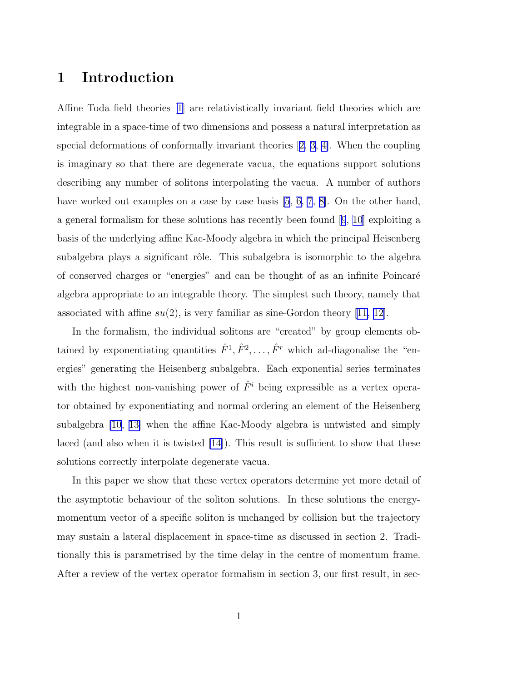### 1 Introduction

Affine Toda field theories [\[1](#page-23-0)] are relativistically invariant field theories which are integrable in a space-time of two dimensions and possess a natural interpretation as special deformations of conformally invariant theories[[2, 3, 4\]](#page-23-0). When the coupling is imaginary so that there are degenerate vacua, the equations support solutions describing any number of solitons interpolating the vacua. A number of authors have worked out examples on a case by case basis  $[5, 6, 7, 8]$  $[5, 6, 7, 8]$  $[5, 6, 7, 8]$  $[5, 6, 7, 8]$ . On the other hand, a general formalism for these solutions has recently been found[[9](#page-23-0), [10](#page-23-0)] exploiting a basis of the underlying affine Kac-Moody algebra in which the principal Heisenberg subalgebra plays a significant rôle. This subalgebra is isomorphic to the algebra of conserved charges or "energies" and can be thought of as an infinite Poincar´e algebra appropriate to an integrable theory. The simplest such theory, namely that associated with affine  $su(2)$ , is very familiar as sine-Gordon theory [\[11, 12\]](#page-23-0).

In the formalism, the individual solitons are "created" by group elements obtained by exponentiating quantities  $\hat{F}^1, \hat{F}^2, \dots, \hat{F}^r$  which ad-diagonalise the "energies" generating the Heisenberg subalgebra. Each exponential series terminates with the highest non-vanishing power of  $\hat{F}^i$  being expressible as a vertex operator obtained by exponentiating and normal ordering an element of the Heisenberg subalgebra [\[10](#page-23-0), [13\]](#page-24-0) when the affine Kac-Moody algebra is untwisted and simply laced (and also when it is twisted [\[14](#page-24-0)]). This result is sufficient to show that these solutions correctly interpolate degenerate vacua.

In this paper we show that these vertex operators determine yet more detail of the asymptotic behaviour of the soliton solutions. In these solutions the energymomentum vector of a specific soliton is unchanged by collision but the trajectory may sustain a lateral displacement in space-time as discussed in section 2. Traditionally this is parametrised by the time delay in the centre of momentum frame. After a review of the vertex operator formalism in section 3, our first result, in sec-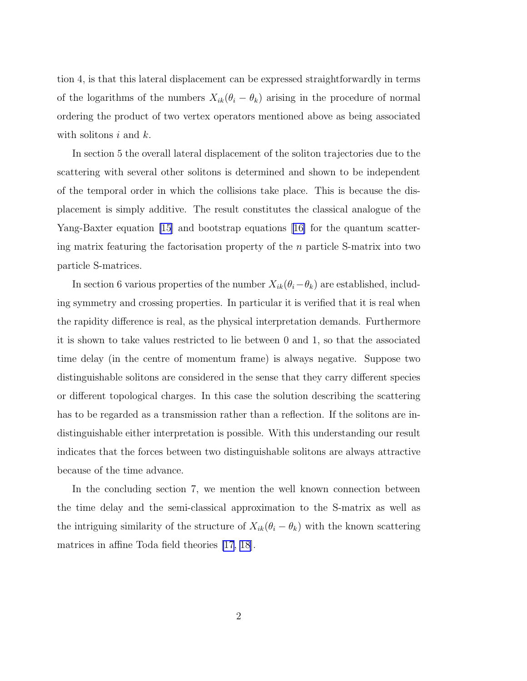tion 4, is that this lateral displacement can be expressed straightforwardly in terms of the logarithms of the numbers  $X_{ik}(\theta_i - \theta_k)$  arising in the procedure of normal ordering the product of two vertex operators mentioned above as being associated with solitons  $i$  and  $k$ .

In section 5 the overall lateral displacement of the soliton trajectories due to the scattering with several other solitons is determined and shown to be independent of the temporal order in which the collisions take place. This is because the displacement is simply additive. The result constitutes the classical analogue of the Yang-Baxter equation [\[15\]](#page-24-0) and bootstrap equations [\[16\]](#page-24-0) for the quantum scattering matrix featuring the factorisation property of the  $n$  particle S-matrix into two particle S-matrices.

In section 6 various properties of the number  $X_{ik}(\theta_i-\theta_k)$  are established, including symmetry and crossing properties. In particular it is verified that it is real when the rapidity difference is real, as the physical interpretation demands. Furthermore it is shown to take values restricted to lie between 0 and 1, so that the associated time delay (in the centre of momentum frame) is always negative. Suppose two distinguishable solitons are considered in the sense that they carry different species or different topological charges. In this case the solution describing the scattering has to be regarded as a transmission rather than a reflection. If the solitons are indistinguishable either interpretation is possible. With this understanding our result indicates that the forces between two distinguishable solitons are always attractive because of the time advance.

In the concluding section 7, we mention the well known connection between the time delay and the semi-classical approximation to the S-matrix as well as the intriguing similarity of the structure of  $X_{ik}(\theta_i - \theta_k)$  with the known scattering matrices in affine Toda field theories [\[17, 18\]](#page-24-0).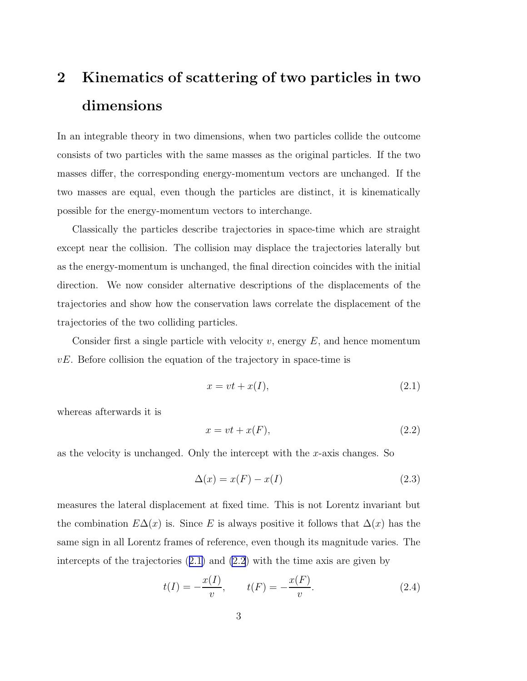## <span id="page-4-0"></span>2 Kinematics of scattering of two particles in two dimensions

In an integrable theory in two dimensions, when two particles collide the outcome consists of two particles with the same masses as the original particles. If the two masses differ, the corresponding energy-momentum vectors are unchanged. If the two masses are equal, even though the particles are distinct, it is kinematically possible for the energy-momentum vectors to interchange.

Classically the particles describe trajectories in space-time which are straight except near the collision. The collision may displace the trajectories laterally but as the energy-momentum is unchanged, the final direction coincides with the initial direction. We now consider alternative descriptions of the displacements of the trajectories and show how the conservation laws correlate the displacement of the trajectories of the two colliding particles.

Consider first a single particle with velocity  $v$ , energy  $E$ , and hence momentum  $vE$ . Before collision the equation of the trajectory in space-time is

$$
x = vt + x(I), \tag{2.1}
$$

whereas afterwards it is

$$
x = vt + x(F), \tag{2.2}
$$

as the velocity is unchanged. Only the intercept with the  $x$ -axis changes. So

$$
\Delta(x) = x(F) - x(I) \tag{2.3}
$$

measures the lateral displacement at fixed time. This is not Lorentz invariant but the combination  $E\Delta(x)$  is. Since E is always positive it follows that  $\Delta(x)$  has the same sign in all Lorentz frames of reference, even though its magnitude varies. The intercepts of the trajectories (2.1) and (2.2) with the time axis are given by

$$
t(I) = -\frac{x(I)}{v}, \qquad t(F) = -\frac{x(F)}{v}.
$$
 (2.4)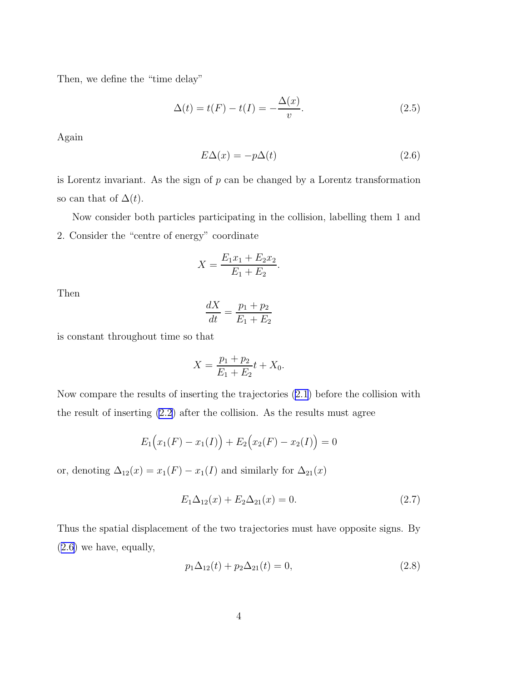<span id="page-5-0"></span>Then, we define the "time delay"

$$
\Delta(t) = t(F) - t(I) = -\frac{\Delta(x)}{v}.
$$
\n(2.5)

Again

$$
E\Delta(x) = -p\Delta(t) \tag{2.6}
$$

is Lorentz invariant. As the sign of  $p$  can be changed by a Lorentz transformation so can that of  $\Delta(t)$ .

Now consider both particles participating in the collision, labelling them 1 and 2. Consider the "centre of energy" coordinate

$$
X = \frac{E_1 x_1 + E_2 x_2}{E_1 + E_2}.
$$

Then

$$
\frac{dX}{dt} = \frac{p_1 + p_2}{E_1 + E_2}
$$

is constant throughout time so that

$$
X = \frac{p_1 + p_2}{E_1 + E_2}t + X_0.
$$

Now compare the results of inserting the trajectories [\(2.1](#page-4-0)) before the collision with the result of inserting [\(2.2](#page-4-0)) after the collision. As the results must agree

$$
E_1(x_1(F) - x_1(I)) + E_2(x_2(F) - x_2(I)) = 0
$$

or, denoting  $\Delta_{12}(x) = x_1(F) - x_1(I)$  and similarly for  $\Delta_{21}(x)$ 

$$
E_1 \Delta_{12}(x) + E_2 \Delta_{21}(x) = 0. \tag{2.7}
$$

Thus the spatial displacement of the two trajectories must have opposite signs. By (2.6) we have, equally,

$$
p_1 \Delta_{12}(t) + p_2 \Delta_{21}(t) = 0,\t\t(2.8)
$$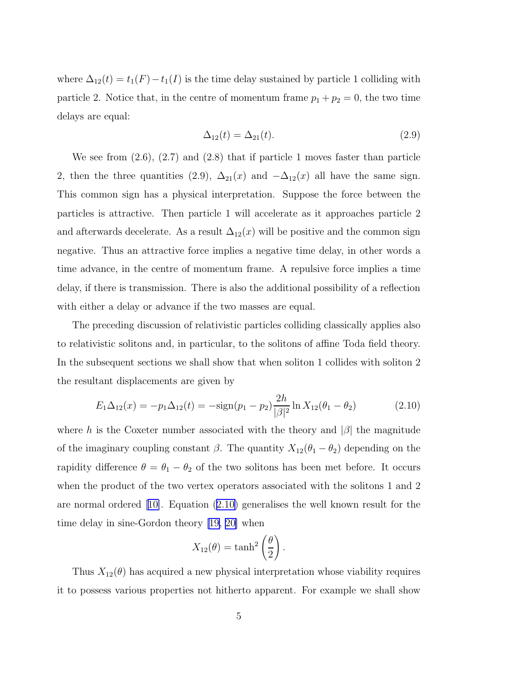<span id="page-6-0"></span>where  $\Delta_{12}(t) = t_1(F) - t_1(I)$  is the time delay sustained by particle 1 colliding with particle 2. Notice that, in the centre of momentum frame  $p_1 + p_2 = 0$ , the two time delays are equal:

$$
\Delta_{12}(t) = \Delta_{21}(t). \tag{2.9}
$$

We see from  $(2.6)$ ,  $(2.7)$  and  $(2.8)$  that if particle 1 moves faster than particle 2, then the three quantities (2.9),  $\Delta_{21}(x)$  and  $-\Delta_{12}(x)$  all have the same sign. This common sign has a physical interpretation. Suppose the force between the particles is attractive. Then particle 1 will accelerate as it approaches particle 2 and afterwards decelerate. As a result  $\Delta_{12}(x)$  will be positive and the common sign negative. Thus an attractive force implies a negative time delay, in other words a time advance, in the centre of momentum frame. A repulsive force implies a time delay, if there is transmission. There is also the additional possibility of a reflection with either a delay or advance if the two masses are equal.

The preceding discussion of relativistic particles colliding classically applies also to relativistic solitons and, in particular, to the solitons of affine Toda field theory. In the subsequent sections we shall show that when soliton 1 collides with soliton 2 the resultant displacements are given by

$$
E_1 \Delta_{12}(x) = -p_1 \Delta_{12}(t) = -\text{sign}(p_1 - p_2) \frac{2h}{|\beta|^2} \ln X_{12}(\theta_1 - \theta_2)
$$
 (2.10)

where h is the Coxeter number associated with the theory and  $|\beta|$  the magnitude of the imaginary coupling constant  $\beta$ . The quantity  $X_{12}(\theta_1 - \theta_2)$  depending on the rapidity difference  $\theta = \theta_1 - \theta_2$  of the two solitons has been met before. It occurs when the product of the two vertex operators associated with the solitons 1 and 2 are normal ordered[[10\]](#page-23-0). Equation (2.10) generalises the well known result for the time delay in sine-Gordon theory [\[19, 20\]](#page-24-0) when

$$
X_{12}(\theta) = \tanh^2\left(\frac{\theta}{2}\right).
$$

Thus  $X_{12}(\theta)$  has acquired a new physical interpretation whose viability requires it to possess various properties not hitherto apparent. For example we shall show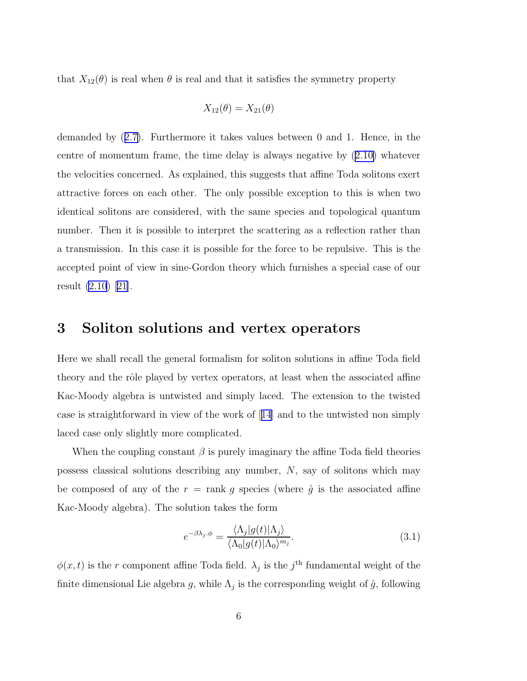<span id="page-7-0"></span>that  $X_{12}(\theta)$  is real when  $\theta$  is real and that it satisfies the symmetry property

$$
X_{12}(\theta) = X_{21}(\theta)
$$

demanded by ([2.7\)](#page-5-0). Furthermore it takes values between 0 and 1. Hence, in the centre of momentum frame, the time delay is always negative by ([2.10\)](#page-6-0) whatever the velocities concerned. As explained, this suggests that affine Toda solitons exert attractive forces on each other. The only possible exception to this is when two identical solitons are considered, with the same species and topological quantum number. Then it is possible to interpret the scattering as a reflection rather than a transmission. In this case it is possible for the force to be repulsive. This is the accepted point of view in sine-Gordon theory which furnishes a special case of our result [\(2.10](#page-6-0))[[21\]](#page-24-0).

#### 3 Soliton solutions and vertex operators

Here we shall recall the general formalism for soliton solutions in affine Toda field theory and the rôle played by vertex operators, at least when the associated affine Kac-Moody algebra is untwisted and simply laced. The extension to the twisted case is straightforward in view of the work of[[14](#page-24-0)] and to the untwisted non simply laced case only slightly more complicated.

When the coupling constant  $\beta$  is purely imaginary the affine Toda field theories possess classical solutions describing any number, N, say of solitons which may be composed of any of the  $r = \text{rank } g$  species (where  $\hat{g}$  is the associated affine Kac-Moody algebra). The solution takes the form

$$
e^{-\beta \lambda_j \cdot \phi} = \frac{\langle \Lambda_j | g(t) | \Lambda_j \rangle}{\langle \Lambda_0 | g(t) | \Lambda_0 \rangle^{m_j}}.
$$
\n(3.1)

 $\phi(x,t)$  is the r component affine Toda field.  $\lambda_j$  is the j<sup>th</sup> fundamental weight of the finite dimensional Lie algebra g, while  $\Lambda_j$  is the corresponding weight of  $\hat{g}$ , following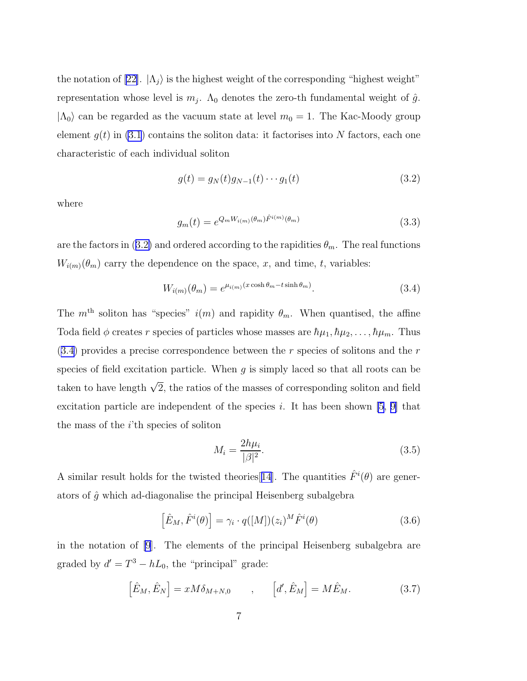<span id="page-8-0"></span>thenotation of [[22\]](#page-24-0).  $|\Lambda_j\rangle$  is the highest weight of the corresponding "highest weight" representation whose level is  $m_j$ .  $\Lambda_0$  denotes the zero-th fundamental weight of  $\hat{g}$ .  $|\Lambda_0\rangle$  can be regarded as the vacuum state at level  $m_0 = 1$ . The Kac-Moody group element  $g(t)$  in [\(3.1](#page-7-0)) contains the soliton data: it factorises into N factors, each one characteristic of each individual soliton

$$
g(t) = g_N(t)g_{N-1}(t)\cdots g_1(t)
$$
\n(3.2)

where

$$
g_m(t) = e^{Q_m W_{i(m)}(\theta_m)\hat{F}^{i(m)}(\theta_m)}
$$
(3.3)

are the factors in (3.2) and ordered according to the rapidities  $\theta_m$ . The real functions  $W_{i(m)}(\theta_m)$  carry the dependence on the space, x, and time, t, variables:

$$
W_{i(m)}(\theta_m) = e^{\mu_{i(m)}(x \cosh \theta_m - t \sinh \theta_m)}.
$$
\n(3.4)

The  $m<sup>th</sup>$  soliton has "species"  $i(m)$  and rapidity  $\theta_m$ . When quantised, the affine Toda field  $\phi$  creates r species of particles whose masses are  $\hbar\mu_1, \hbar\mu_2, \ldots, \hbar\mu_m$ . Thus  $(3.4)$  provides a precise correspondence between the r species of solitons and the r species of field excitation particle. When  $q$  is simply laced so that all roots can be taken to have length  $\sqrt{2}$ , the ratios of the masses of corresponding soliton and field excitation particle are independent of the species i. It has been shown [\[5](#page-23-0), [9\]](#page-23-0) that the mass of the  $i$ <sup>th</sup> species of soliton

$$
M_i = \frac{2h\mu_i}{|\beta|^2}.\tag{3.5}
$$

A similar result holds for the twisted theories [[14](#page-24-0)]. The quantities  $\hat{F}^i(\theta)$  are generators of  $\hat{g}$  which ad-diagonalise the principal Heisenberg subalgebra

$$
\left[\hat{E}_M, \hat{F}^i(\theta)\right] = \gamma_i \cdot q([M])(z_i)^M \hat{F}^i(\theta) \tag{3.6}
$$

in the notation of [\[9\]](#page-23-0). The elements of the principal Heisenberg subalgebra are graded by  $d' = T^3 - hL_0$ , the "principal" grade:

$$
\left[\hat{E}_M, \hat{E}_N\right] = xM\delta_{M+N,0} \qquad , \qquad \left[d', \hat{E}_M\right] = M\hat{E}_M. \tag{3.7}
$$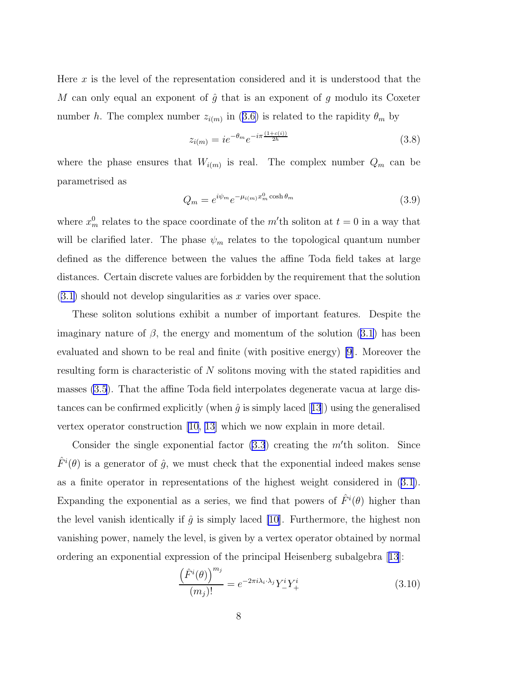<span id="page-9-0"></span>Here  $x$  is the level of the representation considered and it is understood that the M can only equal an exponent of  $\hat{g}$  that is an exponent of g modulo its Coxeter number h. The complex number  $z_{i(m)}$  in ([3.6\)](#page-8-0) is related to the rapidity  $\theta_m$  by

$$
z_{i(m)} = i e^{-\theta_m} e^{-i\pi \frac{(1+c(i))}{2h}}
$$
\n(3.8)

where the phase ensures that  $W_{i(m)}$  is real. The complex number  $Q_m$  can be parametrised as

$$
Q_m = e^{i\psi_m} e^{-\mu_{i(m)} x_m^0 \cosh \theta_m} \tag{3.9}
$$

where  $x_m^0$  relates to the space coordinate of the m'th soliton at  $t = 0$  in a way that will be clarified later. The phase  $\psi_m$  relates to the topological quantum number defined as the difference between the values the affine Toda field takes at large distances. Certain discrete values are forbidden by the requirement that the solution  $(3.1)$  $(3.1)$  should not develop singularities as x varies over space.

These soliton solutions exhibit a number of important features. Despite the imaginary nature of  $\beta$ , the energy and momentum of the solution [\(3.1](#page-7-0)) has been evaluated and shown to be real and finite (with positive energy) [\[9](#page-23-0)]. Moreover the resulting form is characteristic of N solitons moving with the stated rapidities and masses [\(3.5](#page-8-0)). That the affine Toda field interpolates degenerate vacua at large distancescan be confirmed explicitly (when  $\hat{q}$  is simply laced [[13](#page-24-0)]) using the generalised vertex operator construction [\[10,](#page-23-0) [13\]](#page-24-0) which we now explain in more detail.

Consider the single exponential factor  $(3.3)$  $(3.3)$  creating the m'th soliton. Since  $\hat{F}^i(\theta)$  is a generator of  $\hat{g}$ , we must check that the exponential indeed makes sense as a finite operator in representations of the highest weight considered in ([3.1\)](#page-7-0). Expanding the exponential as a series, we find that powers of  $\hat{F}^i(\theta)$  higher than the level vanish identically if  $\hat{g}$  is simply laced [\[10](#page-23-0)]. Furthermore, the highest non vanishing power, namely the level, is given by a vertex operator obtained by normal ordering an exponential expression of the principal Heisenberg subalgebra[[13](#page-24-0)]:

$$
\frac{\left(\hat{F}^i(\theta)\right)^{m_j}}{(m_j)!} = e^{-2\pi i \lambda_i \cdot \lambda_j} Y_-^i Y_+^i \tag{3.10}
$$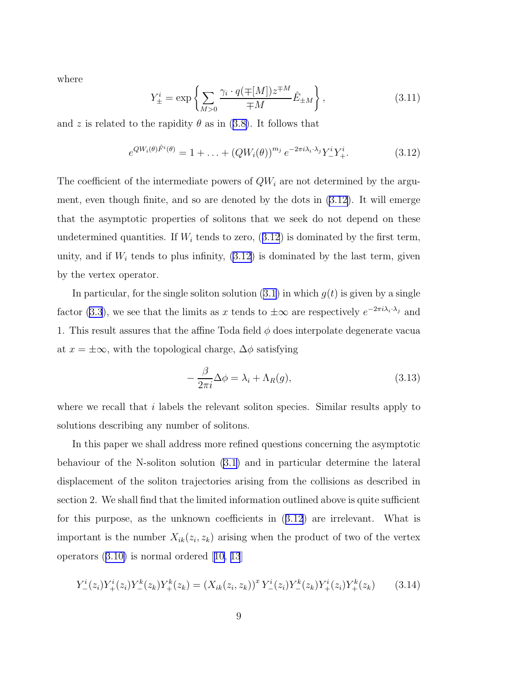<span id="page-10-0"></span>where

$$
Y_{\pm}^{i} = \exp\left\{\sum_{M>0} \frac{\gamma_{i} \cdot q(\mp[M]) z^{\mp M}}{\mp M} \hat{E}_{\pm M}\right\},\tag{3.11}
$$

and z is related to the rapidity  $\theta$  as in ([3.8\)](#page-9-0). It follows that

$$
e^{QW_i(\theta)\hat{F}^i(\theta)} = 1 + \ldots + (QW_i(\theta))^{m_j} e^{-2\pi i \lambda_i \cdot \lambda_j} Y^i_{-} Y^i_{+}.
$$
 (3.12)

The coefficient of the intermediate powers of  $QW_i$  are not determined by the argument, even though finite, and so are denoted by the dots in (3.12). It will emerge that the asymptotic properties of solitons that we seek do not depend on these undetermined quantities. If  $W_i$  tends to zero,  $(3.12)$  is dominated by the first term, unity, and if  $W_i$  tends to plus infinity,  $(3.12)$  is dominated by the last term, given by the vertex operator.

In particular, for the single soliton solution  $(3.1)$  $(3.1)$  in which  $g(t)$  is given by a single factor [\(3.3](#page-8-0)), we see that the limits as x tends to  $\pm\infty$  are respectively  $e^{-2\pi i\lambda_i \cdot \lambda_j}$  and 1. This result assures that the affine Toda field  $\phi$  does interpolate degenerate vacua at  $x = \pm \infty$ , with the topological charge,  $\Delta \phi$  satisfying

$$
-\frac{\beta}{2\pi i}\Delta\phi = \lambda_i + \Lambda_R(g),\tag{3.13}
$$

where we recall that i labels the relevant soliton species. Similar results apply to solutions describing any number of solitons.

In this paper we shall address more refined questions concerning the asymptotic behaviour of the N-soliton solution ([3.1\)](#page-7-0) and in particular determine the lateral displacement of the soliton trajectories arising from the collisions as described in section 2. We shall find that the limited information outlined above is quite sufficient for this purpose, as the unknown coefficients in (3.12) are irrelevant. What is important is the number  $X_{ik}(z_i, z_k)$  arising when the product of two of the vertex operators ([3.10\)](#page-9-0) is normal ordered[[10,](#page-23-0) [13](#page-24-0)]

$$
Y_{-}^{i}(z_{i})Y_{+}^{i}(z_{i})Y_{-}^{k}(z_{k})Y_{+}^{k}(z_{k}) = (X_{ik}(z_{i}, z_{k}))^{x} Y_{-}^{i}(z_{i})Y_{-}^{k}(z_{k})Y_{+}^{i}(z_{i})Y_{+}^{k}(z_{k}) \qquad (3.14)
$$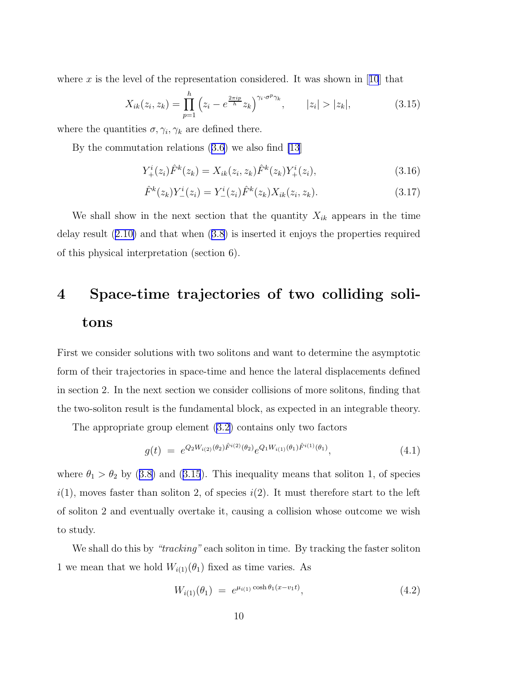<span id="page-11-0"></span>wherex is the level of the representation considered. It was shown in [[10](#page-23-0)] that

$$
X_{ik}(z_i, z_k) = \prod_{p=1}^h \left( z_i - e^{\frac{2\pi i p}{h}} z_k \right)^{\gamma_i \cdot \sigma^p \gamma_k}, \qquad |z_i| > |z_k|,
$$
 (3.15)

where the quantities  $\sigma, \gamma_i, \gamma_k$  are defined there.

By the commutation relations ([3.6\)](#page-8-0) we also find [\[13](#page-24-0)]

$$
Y_{+}^{i}(z_{i})\hat{F}^{k}(z_{k}) = X_{ik}(z_{i}, z_{k})\hat{F}^{k}(z_{k})Y_{+}^{i}(z_{i}),
$$
\n(3.16)

$$
\hat{F}^{k}(z_{k})Y_{-}^{i}(z_{i}) = Y_{-}^{i}(z_{i})\hat{F}^{k}(z_{k})X_{ik}(z_{i}, z_{k}).
$$
\n(3.17)

We shall show in the next section that the quantity  $X_{ik}$  appears in the time delay result ([2.10\)](#page-6-0) and that when ([3.8\)](#page-9-0) is inserted it enjoys the properties required of this physical interpretation (section 6).

## 4 Space-time trajectories of two colliding solitons

First we consider solutions with two solitons and want to determine the asymptotic form of their trajectories in space-time and hence the lateral displacements defined in section 2. In the next section we consider collisions of more solitons, finding that the two-soliton result is the fundamental block, as expected in an integrable theory.

The appropriate group element [\(3.2](#page-8-0)) contains only two factors

$$
g(t) = e^{Q_2 W_{i(2)}(\theta_2) \hat{F}^{i(2)}(\theta_2)} e^{Q_1 W_{i(1)}(\theta_1) \hat{F}^{i(1)}(\theta_1)}, \tag{4.1}
$$

where  $\theta_1 > \theta_2$  by ([3.8\)](#page-9-0) and (3.15). This inequality means that soliton 1, of species  $i(1)$ , moves faster than soliton 2, of species  $i(2)$ . It must therefore start to the left of soliton 2 and eventually overtake it, causing a collision whose outcome we wish to study.

We shall do this by "*tracking*" each soliton in time. By tracking the faster soliton 1 we mean that we hold  $W_{i(1)}(\theta_1)$  fixed as time varies. As

$$
W_{i(1)}(\theta_1) = e^{\mu_{i(1)} \cosh \theta_1 (x - v_1 t)}, \tag{4.2}
$$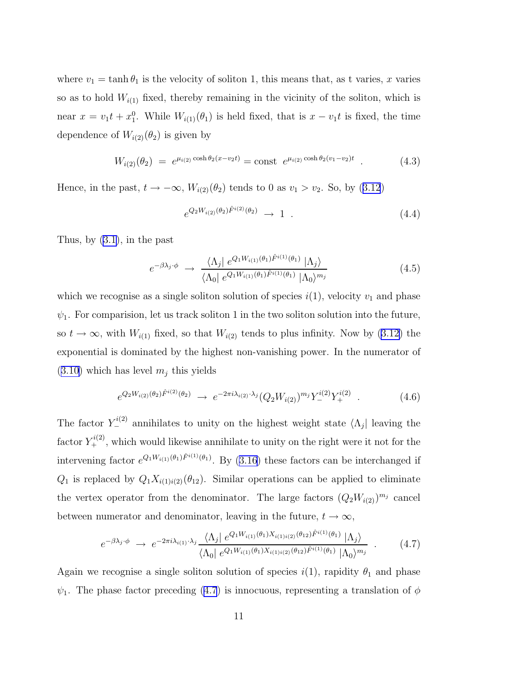<span id="page-12-0"></span>where  $v_1 = \tanh \theta_1$  is the velocity of soliton 1, this means that, as t varies, x varies so as to hold  $W_{i(1)}$  fixed, thereby remaining in the vicinity of the soliton, which is near  $x = v_1 t + x_1^0$ . While  $W_{i(1)}(\theta_1)$  is held fixed, that is  $x - v_1 t$  is fixed, the time dependence of  $W_{i(2)}(\theta_2)$  is given by

$$
W_{i(2)}(\theta_2) = e^{\mu_{i(2)} \cosh \theta_2 (x - v_2 t)} = \text{const} \ e^{\mu_{i(2)} \cosh \theta_2 (v_1 - v_2)t} \ . \tag{4.3}
$$

Hence, in the past,  $t \to -\infty$ ,  $W_{i(2)}(\theta_2)$  tends to 0 as  $v_1 > v_2$ . So, by ([3.12](#page-10-0))

$$
e^{Q_2 W_{i(2)}(\theta_2)\hat{F}^{i(2)}(\theta_2)} \to 1 \tag{4.4}
$$

Thus, by ([3.1](#page-7-0)), in the past

$$
e^{-\beta \lambda_j \cdot \phi} \rightarrow \frac{\langle \Lambda_j | e^{Q_1 W_{i(1)}(\theta_1)} \hat{F}^{i(1)}(\theta_1) | \Lambda_j \rangle}{\langle \Lambda_0 | e^{Q_1 W_{i(1)}(\theta_1)} \hat{F}^{i(1)}(\theta_1) | \Lambda_0 \rangle^{m_j}}
$$
(4.5)

which we recognise as a single soliton solution of species  $i(1)$ , velocity  $v_1$  and phase  $\psi_1$ . For comparision, let us track soliton 1 in the two soliton solution into the future, so  $t \to \infty$ , with  $W_{i(1)}$  fixed, so that  $W_{i(2)}$  tends to plus infinity. Now by [\(3.12\)](#page-10-0) the exponential is dominated by the highest non-vanishing power. In the numerator of  $(3.10)$  $(3.10)$  which has level  $m<sub>j</sub>$  this yields

$$
e^{Q_2 W_{i(2)}(\theta_2)\hat{F}^{i(2)}(\theta_2)} \to e^{-2\pi i \lambda_{i(2)} \cdot \lambda_j} (Q_2 W_{i(2)})^{m_j} Y_{-}^{i(2)} Y_{+}^{i(2)} \quad . \tag{4.6}
$$

The factor  $Y_{-}^{i(2)}$  annihilates to unity on the highest weight state  $\langle \Lambda_j |$  leaving the factor  $Y^{i(2)}_{+}$ , which would likewise annihilate to unity on the right were it not for the intervening factor  $e^{Q_1 W_{i(1)}(\theta_1) \hat{F}^{i(1)}(\theta_1)}$ . By [\(3.16\)](#page-11-0) these factors can be interchanged if  $Q_1$  is replaced by  $Q_1 X_{i(1)i(2)}(\theta_{12})$ . Similar operations can be applied to eliminate the vertex operator from the denominator. The large factors  $(Q_2W_{i(2)})^{m_j}$  cancel between numerator and denominator, leaving in the future,  $t \to \infty$ ,

$$
e^{-\beta \lambda_j \cdot \phi} \to e^{-2\pi i \lambda_{i(1)} \cdot \lambda_j} \frac{\langle \Lambda_j | e^{Q_1 W_{i(1)}(\theta_1) X_{i(1)i(2)}(\theta_{12}) \hat{F}^{i(1)}(\theta_1)} | \Lambda_j \rangle}{\langle \Lambda_0 | e^{Q_1 W_{i(1)}(\theta_1) X_{i(1)i(2)}(\theta_{12}) \hat{F}^{i(1)}(\theta_1)} | \Lambda_0 \rangle^{m_j}} \tag{4.7}
$$

Again we recognise a single soliton solution of species  $i(1)$ , rapidity  $\theta_1$  and phase  $\psi_1$ . The phase factor preceding (4.7) is innocuous, representing a translation of  $\phi$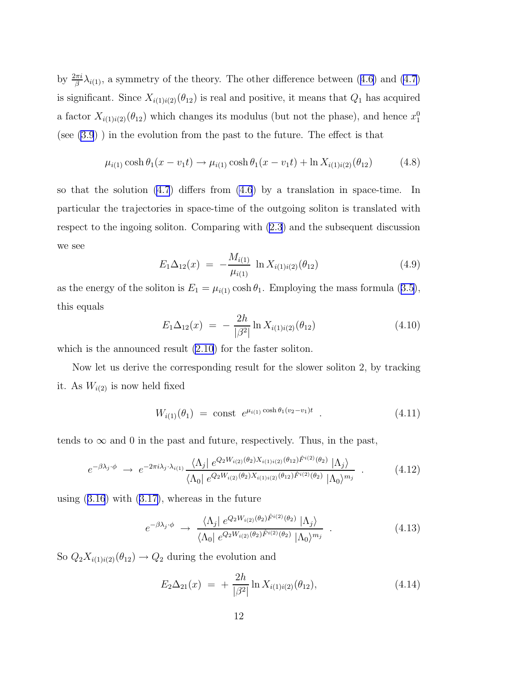<span id="page-13-0"></span>by  $\frac{2\pi i}{\beta} \lambda_{i(1)}$ , a symmetry of the theory. The other difference between ([4.6\)](#page-12-0) and [\(4.7](#page-12-0)) is significant. Since  $X_{i(1)i(2)}(\theta_{12})$  is real and positive, it means that  $Q_1$  has acquired a factor  $X_{i(1)i(2)}(\theta_{12})$  which changes its modulus (but not the phase), and hence  $x_1^0$ (see [\(3.9](#page-9-0)) ) in the evolution from the past to the future. The effect is that

$$
\mu_{i(1)} \cosh \theta_1(x - v_1 t) \to \mu_{i(1)} \cosh \theta_1(x - v_1 t) + \ln X_{i(1)i(2)}(\theta_{12}) \tag{4.8}
$$

so that the solution [\(4.7](#page-12-0)) differs from [\(4.6](#page-12-0)) by a translation in space-time. In particular the trajectories in space-time of the outgoing soliton is translated with respect to the ingoing soliton. Comparing with [\(2.3](#page-4-0)) and the subsequent discussion we see

$$
E_1 \Delta_{12}(x) = -\frac{M_{i(1)}}{\mu_{i(1)}} \ln X_{i(1)i(2)}(\theta_{12}) \tag{4.9}
$$

as the energy of the soliton is  $E_1 = \mu_{i(1)} \cosh \theta_1$ . Employing the mass formula ([3.5\)](#page-8-0), this equals

$$
E_1 \Delta_{12}(x) = -\frac{2h}{|\beta^2|} \ln X_{i(1)i(2)}(\theta_{12}) \tag{4.10}
$$

which is the announced result  $(2.10)$  $(2.10)$  for the faster soliton.

Now let us derive the corresponding result for the slower soliton 2, by tracking it. As  $W_{i(2)}$  is now held fixed

$$
W_{i(1)}(\theta_1) = \text{const } e^{\mu_{i(1)} \cosh \theta_1 (v_2 - v_1)t} \tag{4.11}
$$

tends to  $\infty$  and 0 in the past and future, respectively. Thus, in the past,

$$
e^{-\beta \lambda_j \cdot \phi} \to e^{-2\pi i \lambda_j \cdot \lambda_{i(1)}} \frac{\langle \Lambda_j | e^{Q_2 W_{i(2)}(\theta_2) X_{i(1)i(2)}(\theta_1)} \hat{F}^{i(2)}(\theta_2) | \Lambda_j \rangle}{\langle \Lambda_0 | e^{Q_2 W_{i(2)}(\theta_2) X_{i(1)i(2)}(\theta_1)} \hat{F}^{i(2)}(\theta_2) | \Lambda_0 \rangle^{m_j}} \tag{4.12}
$$

using  $(3.16)$  $(3.16)$  $(3.16)$  with  $(3.17)$ , whereas in the future

$$
e^{-\beta \lambda_j \cdot \phi} \rightarrow \frac{\langle \Lambda_j | e^{Q_2 W_{i(2)}(\theta_2) \hat{F}^{i(2)}(\theta_2)} | \Lambda_j \rangle}{\langle \Lambda_0 | e^{Q_2 W_{i(2)}(\theta_2) \hat{F}^{i(2)}(\theta_2)} | \Lambda_0 \rangle^{m_j}} \tag{4.13}
$$

So  $Q_2X_{i(1)i(2)}(\theta_{12}) \rightarrow Q_2$  during the evolution and

$$
E_2 \Delta_{21}(x) = + \frac{2h}{|\beta^2|} \ln X_{i(1)i(2)}(\theta_{12}), \qquad (4.14)
$$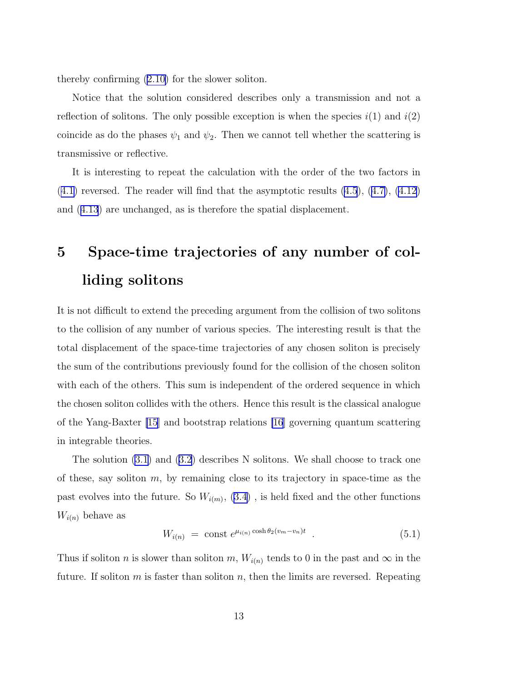thereby confirming [\(2.10\)](#page-6-0) for the slower soliton.

Notice that the solution considered describes only a transmission and not a reflection of solitons. The only possible exception is when the species  $i(1)$  and  $i(2)$ coincide as do the phases  $\psi_1$  and  $\psi_2$ . Then we cannot tell whether the scattering is transmissive or reflective.

It is interesting to repeat the calculation with the order of the two factors in  $(4.1)$  $(4.1)$  reversed. The reader will find that the asymptotic results  $(4.5)$  $(4.5)$ ,  $(4.7)$  $(4.7)$ ,  $(4.12)$  $(4.12)$ and ([4.13](#page-13-0)) are unchanged, as is therefore the spatial displacement.

## 5 Space-time trajectories of any number of colliding solitons

It is not difficult to extend the preceding argument from the collision of two solitons to the collision of any number of various species. The interesting result is that the total displacement of the space-time trajectories of any chosen soliton is precisely the sum of the contributions previously found for the collision of the chosen soliton with each of the others. This sum is independent of the ordered sequence in which the chosen soliton collides with the others. Hence this result is the classical analogue of the Yang-Baxter [\[15](#page-24-0)] and bootstrap relations [\[16](#page-24-0)] governing quantum scattering in integrable theories.

The solution [\(3.1](#page-7-0)) and ([3.2](#page-8-0)) describes N solitons. We shall choose to track one of these, say soliton  $m$ , by remaining close to its trajectory in space-time as the past evolves into the future. So  $W_{i(m)}$ , [\(3.4](#page-8-0)), is held fixed and the other functions  $W_{i(n)}$  behave as

$$
W_{i(n)} = \text{const } e^{\mu_{i(n)} \cosh \theta_2 (v_m - v_n)t} \tag{5.1}
$$

Thus if soliton *n* is slower than soliton *m*,  $W_{i(n)}$  tends to 0 in the past and  $\infty$  in the future. If soliton  $m$  is faster than soliton  $n$ , then the limits are reversed. Repeating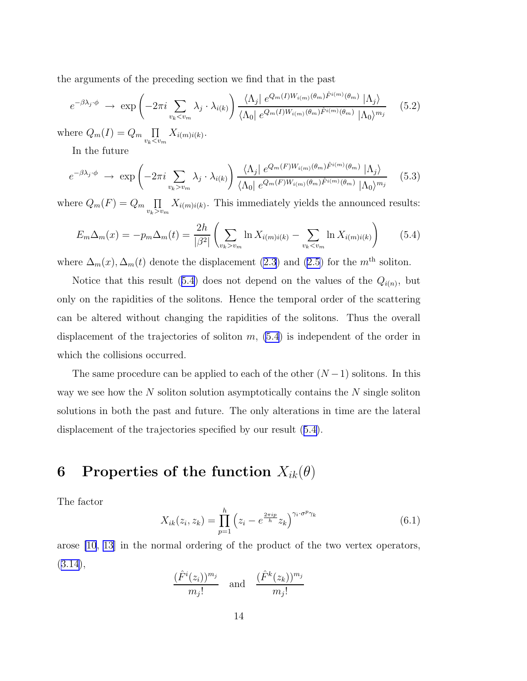<span id="page-15-0"></span>the arguments of the preceding section we find that in the past

$$
e^{-\beta \lambda_j \cdot \phi} \rightarrow \exp\left(-2\pi i \sum_{v_k < v_m} \lambda_j \cdot \lambda_{i(k)}\right) \frac{\langle \Lambda_j | e^{Q_m(I)W_{i(m)}(\theta_m)} \hat{F}^{i(m)}(\theta_m) | \Lambda_j \rangle}{\langle \Lambda_0 | e^{Q_m(I)W_{i(m)}(\theta_m)} \hat{F}^{i(m)}(\theta_m) | \Lambda_0 \rangle^{m_j}} \quad (5.2)
$$

where  $Q_m(I) = Q_m$   $\Pi$  $\prod_{v_k < v_m} X_{i(m)i(k)}$ .

In the future

$$
e^{-\beta \lambda_j \cdot \phi} \rightarrow \exp\left(-2\pi i \sum_{v_k > v_m} \lambda_j \cdot \lambda_{i(k)}\right) \frac{\langle \Lambda_j | e^{Q_m(F)W_{i(m)}(\theta_m)\hat{F}^{i(m)}(\theta_m)} | \Lambda_j \rangle}{\langle \Lambda_0 | e^{Q_m(F)W_{i(m)}(\theta_m)\hat{F}^{i(m)}(\theta_m)} | \Lambda_0 \rangle^{m_j}} \quad (5.3)
$$

where  $Q_m(F) = Q_m \prod$  $\prod_{v_k>v_m} X_{i(m)i(k)}$ . This immediately yields the announced results:

$$
E_m \Delta_m(x) = -p_m \Delta_m(t) = \frac{2h}{|\beta^2|} \left( \sum_{v_k > v_m} \ln X_{i(m)i(k)} - \sum_{v_k < v_m} \ln X_{i(m)i(k)} \right) \tag{5.4}
$$

where  $\Delta_m(x)$ ,  $\Delta_m(t)$  denote the displacement [\(2.3](#page-4-0)) and [\(2.5](#page-5-0)) for the  $m<sup>th</sup>$  soliton.

Notice that this result (5.4) does not depend on the values of the  $Q_{i(n)}$ , but only on the rapidities of the solitons. Hence the temporal order of the scattering can be altered without changing the rapidities of the solitons. Thus the overall displacement of the trajectories of soliton  $m$ ,  $(5.4)$  is independent of the order in which the collisions occurred.

The same procedure can be applied to each of the other  $(N-1)$  solitons. In this way we see how the  $N$  soliton solution asymptotically contains the  $N$  single soliton solutions in both the past and future. The only alterations in time are the lateral displacement of the trajectories specified by our result (5.4).

### 6 Properties of the function  $X_{ik}(\theta)$

The factor

$$
X_{ik}(z_i, z_k) = \prod_{p=1}^h \left( z_i - e^{\frac{2\pi i p}{h}} z_k \right)^{\gamma_i \cdot \sigma^p \gamma_k} \tag{6.1}
$$

arose [\[10](#page-23-0), [13\]](#page-24-0) in the normal ordering of the product of the two vertex operators, ([3.14\)](#page-10-0),

$$
\frac{(\hat{F}^i(z_i))^{m_j}}{m_j!} \quad \text{and} \quad \frac{(\hat{F}^k(z_k))^{m_j}}{m_j!}
$$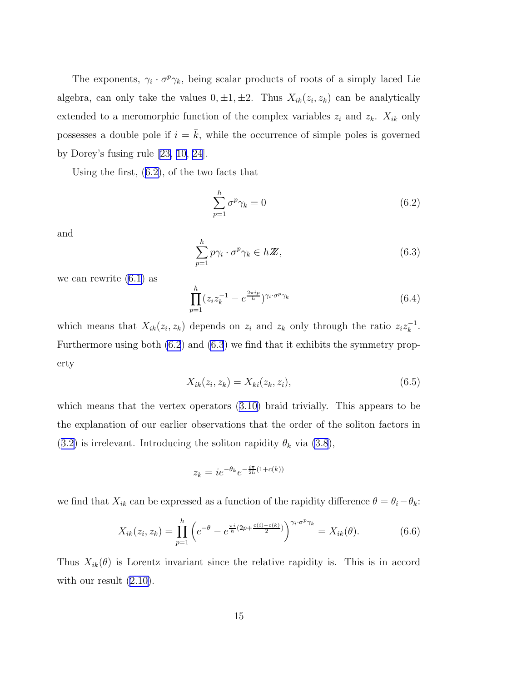<span id="page-16-0"></span>The exponents,  $\gamma_i \cdot \sigma^p \gamma_k$ , being scalar products of roots of a simply laced Lie algebra, can only take the values  $0, \pm 1, \pm 2$ . Thus  $X_{ik}(z_i, z_k)$  can be analytically extended to a meromorphic function of the complex variables  $z_i$  and  $z_k$ .  $X_{ik}$  only possesses a double pole if  $i = \overline{k}$ , while the occurrence of simple poles is governed by Dorey's fusing rule [\[23,](#page-24-0) [10,](#page-23-0) [24](#page-24-0)].

Using the first, (6.2), of the two facts that

$$
\sum_{p=1}^{h} \sigma^p \gamma_k = 0 \tag{6.2}
$$

and

$$
\sum_{p=1}^{h} p\gamma_i \cdot \sigma^p \gamma_k \in h \mathbb{Z},\tag{6.3}
$$

we can rewrite [\(6.1](#page-15-0)) as

$$
\prod_{p=1}^{h} (z_i z_k^{-1} - e^{\frac{2\pi i p}{h}})^{\gamma_i \cdot \sigma^p \gamma_k} \tag{6.4}
$$

which means that  $X_{ik}(z_i, z_k)$  depends on  $z_i$  and  $z_k$  only through the ratio  $z_i z_k^{-1}$ . Furthermore using both (6.2) and (6.3) we find that it exhibits the symmetry property

$$
X_{ik}(z_i, z_k) = X_{ki}(z_k, z_i),
$$
\n(6.5)

which means that the vertex operators [\(3.10\)](#page-9-0) braid trivially. This appears to be the explanation of our earlier observations that the order of the soliton factors in ([3.2\)](#page-8-0) is irrelevant. Introducing the soliton rapidity  $\theta_k$  via [\(3.8](#page-9-0)),

$$
z_k = ie^{-\theta_k}e^{-\frac{i\pi}{2h}(1+c(k))}
$$

we find that  $X_{ik}$  can be expressed as a function of the rapidity difference  $\theta = \theta_i - \theta_k$ :

$$
X_{ik}(z_i, z_k) = \prod_{p=1}^h \left( e^{-\theta} - e^{\frac{\pi i}{h}(2p + \frac{c(i) - c(k)}{2})} \right)^{\gamma_i \cdot \sigma^p \gamma_k} = X_{ik}(\theta). \tag{6.6}
$$

Thus  $X_{ik}(\theta)$  is Lorentz invariant since the relative rapidity is. This is in accord with our result  $(2.10)$  $(2.10)$ .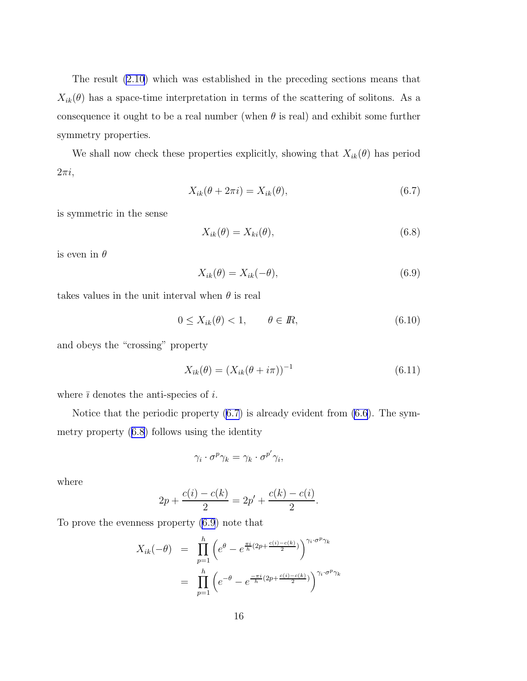<span id="page-17-0"></span>The result [\(2.10](#page-6-0)) which was established in the preceding sections means that  $X_{ik}(\theta)$  has a space-time interpretation in terms of the scattering of solitons. As a consequence it ought to be a real number (when  $\theta$  is real) and exhibit some further symmetry properties.

We shall now check these properties explicitly, showing that  $X_{ik}(\theta)$  has period  $2\pi i$ ,

$$
X_{ik}(\theta + 2\pi i) = X_{ik}(\theta),\tag{6.7}
$$

is symmetric in the sense

$$
X_{ik}(\theta) = X_{ki}(\theta),\tag{6.8}
$$

is even in  $\theta$ 

$$
X_{ik}(\theta) = X_{ik}(-\theta),\tag{6.9}
$$

takes values in the unit interval when  $\theta$  is real

 $0 \le X_{ik}(\theta) < 1, \qquad \theta \in \mathbb{R},$ (6.10)

and obeys the "crossing" property

$$
X_{\bar{i}k}(\theta) = (X_{ik}(\theta + i\pi))^{-1}
$$
\n(6.11)

where  $\bar{i}$  denotes the anti-species of  $i$ .

Notice that the periodic property (6.7) is already evident from [\(6.6](#page-16-0)). The symmetry property (6.8) follows using the identity

$$
\gamma_i \cdot \sigma^p \gamma_k = \gamma_k \cdot \sigma^{p'} \gamma_i,
$$

where

$$
2p + \frac{c(i) - c(k)}{2} = 2p' + \frac{c(k) - c(i)}{2}.
$$

To prove the evenness property (6.9) note that

$$
X_{ik}(-\theta) = \prod_{p=1}^{h} \left( e^{\theta} - e^{\frac{\pi i}{h}(2p + \frac{c(i) - c(k)}{2})} \right)^{\gamma_i \cdot \sigma^p \gamma_k}
$$

$$
= \prod_{p=1}^{h} \left( e^{-\theta} - e^{\frac{-\pi i}{h}(2p + \frac{c(i) - c(k)}{2})} \right)^{\gamma_i \cdot \sigma^p \gamma_k}
$$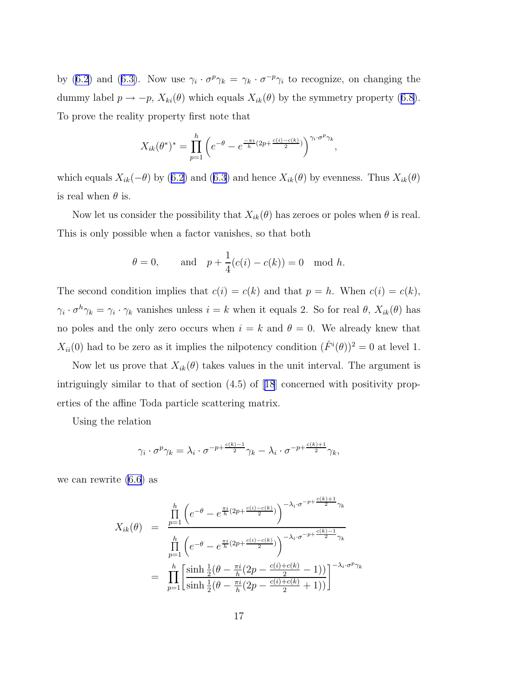by [\(6.2](#page-16-0)) and ([6.3\)](#page-16-0). Now use  $\gamma_i \cdot \sigma^p \gamma_k = \gamma_k \cdot \sigma^{-p} \gamma_i$  to recognize, on changing the dummy label  $p \to -p$ ,  $X_{ki}(\theta)$  which equals  $X_{ik}(\theta)$  by the symmetry property ([6.8](#page-17-0)). To prove the reality property first note that

$$
X_{ik}(\theta^*)^* = \prod_{p=1}^h \left( e^{-\theta} - e^{\frac{-\pi i}{h}(2p + \frac{c(i) - c(k)}{2})} \right)^{\gamma_i \cdot \sigma^p \gamma_k},
$$

which equals  $X_{ik}(-\theta)$  by ([6.2\)](#page-16-0) and ([6.3\)](#page-16-0) and hence  $X_{ik}(\theta)$  by evenness. Thus  $X_{ik}(\theta)$ is real when  $\theta$  is.

Now let us consider the possibility that  $X_{ik}(\theta)$  has zeroes or poles when  $\theta$  is real. This is only possible when a factor vanishes, so that both

$$
\theta = 0
$$
, and  $p + \frac{1}{4}(c(i) - c(k)) = 0 \mod h$ .

The second condition implies that  $c(i) = c(k)$  and that  $p = h$ . When  $c(i) = c(k)$ ,  $\gamma_i \cdot \sigma^h \gamma_k = \gamma_i \cdot \gamma_k$  vanishes unless  $i = k$  when it equals 2. So for real  $\theta$ ,  $X_{ik}(\theta)$  has no poles and the only zero occurs when  $i = k$  and  $\theta = 0$ . We already knew that  $X_{ii}(0)$  had to be zero as it implies the nilpotency condition  $(\hat{F}^i(\theta))^2 = 0$  at level 1.

Now let us prove that  $X_{ik}(\theta)$  takes values in the unit interval. The argument is intriguingly similar to that of section (4.5) of[[18](#page-24-0)] concerned with positivity properties of the affine Toda particle scattering matrix.

Using the relation

$$
\gamma_i \cdot \sigma^p \gamma_k = \lambda_i \cdot \sigma^{-p + \frac{c(k)-1}{2}} \gamma_k - \lambda_i \cdot \sigma^{-p + \frac{c(k)+1}{2}} \gamma_k,
$$

we can rewrite [\(6.6](#page-16-0)) as

$$
X_{ik}(\theta) = \frac{\prod_{p=1}^{h} \left( e^{-\theta} - e^{\frac{\pi i}{h} (2p + \frac{c(i) - c(k)}{2})} \right)^{-\lambda_i \cdot \sigma^{-p + \frac{c(k) + 1}{2}} \gamma_k}
$$

$$
= \prod_{p=1}^{h} \left( e^{-\theta} - e^{\frac{\pi i}{h} (2p + \frac{c(i) - c(k)}{2})} \right)^{-\lambda_i \cdot \sigma^{-p + \frac{c(k) - 1}{2}} \gamma_k}
$$

$$
= \prod_{p=1}^{h} \left[ \frac{\sinh \frac{1}{2} (\theta - \frac{\pi i}{h} (2p - \frac{c(i) + c(k)}{2} - 1))}{\sinh \frac{1}{2} (\theta - \frac{\pi i}{h} (2p - \frac{c(i) + c(k)}{2} + 1))} \right]^{-\lambda_i \cdot \sigma^p \gamma_k}
$$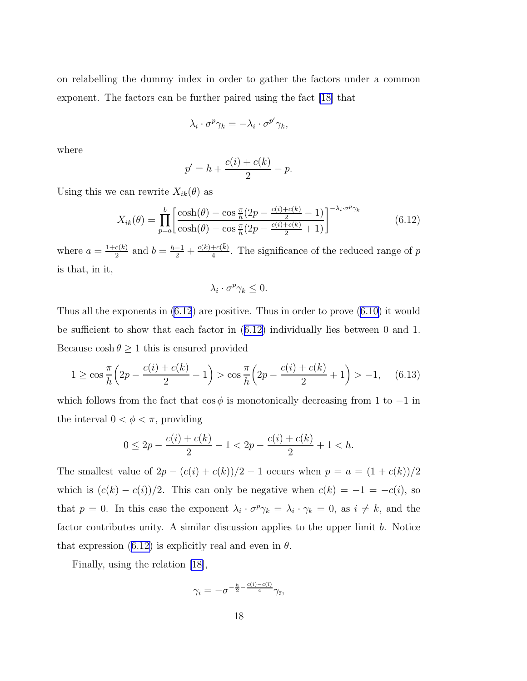on relabelling the dummy index in order to gather the factors under a common exponent. The factors can be further paired using the fact [\[18\]](#page-24-0) that

$$
\lambda_i \cdot \sigma^p \gamma_k = -\lambda_i \cdot \sigma^{p'} \gamma_k,
$$

where

$$
p' = h + \frac{c(i) + c(k)}{2} - p.
$$

Using this we can rewrite  $X_{ik}(\theta)$  as

$$
X_{ik}(\theta) = \prod_{p=a}^{b} \left[ \frac{\cosh(\theta) - \cos\frac{\pi}{h}(2p - \frac{c(i) + c(k)}{2} - 1)}{\cosh(\theta) - \cos\frac{\pi}{h}(2p - \frac{c(i) + c(k)}{2} + 1)} \right]^{-\lambda_i \cdot \sigma^p \gamma_k}
$$
(6.12)

where  $a = \frac{1+c(k)}{2}$  $\frac{c(k)}{2}$  and  $b = \frac{h-1}{2} + \frac{c(k) + c(\bar{k})}{4}$  $\frac{f^{(1)}(R)}{4}$ . The significance of the reduced range of p is that, in it,

$$
\lambda_i \cdot \sigma^p \gamma_k \leq 0.
$$

Thus all the exponents in (6.12) are positive. Thus in order to prove ([6.10\)](#page-17-0) it would be sufficient to show that each factor in (6.12) individually lies between 0 and 1. Because  $\cosh \theta \geq 1$  this is ensured provided

$$
1 \ge \cos\frac{\pi}{h} \left(2p - \frac{c(i) + c(k)}{2} - 1\right) > \cos\frac{\pi}{h} \left(2p - \frac{c(i) + c(k)}{2} + 1\right) > -1,\tag{6.13}
$$

which follows from the fact that  $\cos \phi$  is monotonically decreasing from 1 to  $-1$  in the interval  $0 < \phi < \pi$ , providing

$$
0 \le 2p - \frac{c(i) + c(k)}{2} - 1 < 2p - \frac{c(i) + c(k)}{2} + 1 < h.
$$

The smallest value of  $2p - (c(i) + c(k))/2 - 1$  occurs when  $p = a = (1 + c(k))/2$ which is  $(c(k) - c(i))/2$ . This can only be negative when  $c(k) = -1 = -c(i)$ , so that  $p = 0$ . In this case the exponent  $\lambda_i \cdot \sigma^p \gamma_k = \lambda_i \cdot \gamma_k = 0$ , as  $i \neq k$ , and the factor contributes unity. A similar discussion applies to the upper limit b. Notice that expression (6.12) is explicitly real and even in  $\theta$ .

Finally, using the relation [\[18\]](#page-24-0),

$$
\gamma_i = -\sigma^{-\frac{h}{2} - \frac{c(i) - c(\bar{\imath})}{4}} \gamma_{\bar{\imath}},
$$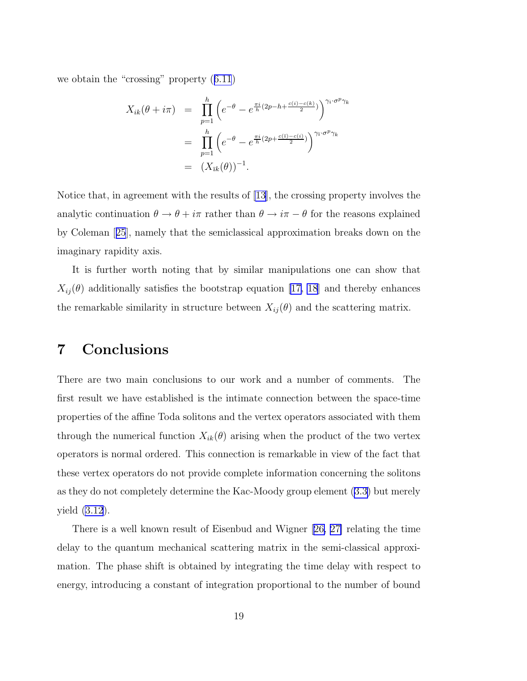we obtain the "crossing" property ([6.11](#page-17-0))

$$
X_{ik}(\theta + i\pi) = \prod_{p=1}^{h} \left( e^{-\theta} - e^{\frac{\pi i}{h}(2p - h + \frac{c(i) - c(k)}{2})} \right)^{\gamma_i \cdot \sigma^p \gamma_k}
$$

$$
= \prod_{p=1}^{h} \left( e^{-\theta} - e^{\frac{\pi i}{h}(2p + \frac{c(i) - c(i)}{2})} \right)^{\gamma_i \cdot \sigma^p \gamma_k}
$$

$$
= (X_{\bar{i}k}(\theta))^{-1}.
$$

Notice that, in agreement with the results of [\[13\]](#page-24-0), the crossing property involves the analytic continuation  $\theta \to \theta + i\pi$  rather than  $\theta \to i\pi - \theta$  for the reasons explained by Coleman[[25](#page-24-0)], namely that the semiclassical approximation breaks down on the imaginary rapidity axis.

It is further worth noting that by similar manipulations one can show that  $X_{ij}(\theta)$  additionally satisfies the bootstrap equation [\[17, 18](#page-24-0)] and thereby enhances the remarkable similarity in structure between  $X_{ij}(\theta)$  and the scattering matrix.

### 7 Conclusions

There are two main conclusions to our work and a number of comments. The first result we have established is the intimate connection between the space-time properties of the affine Toda solitons and the vertex operators associated with them through the numerical function  $X_{ik}(\theta)$  arising when the product of the two vertex operators is normal ordered. This connection is remarkable in view of the fact that these vertex operators do not provide complete information concerning the solitons as they do not completely determine the Kac-Moody group element ([3.3\)](#page-8-0) but merely yield [\(3.12](#page-10-0)).

There is a well known result of Eisenbud and Wigner[[26, 27\]](#page-24-0) relating the time delay to the quantum mechanical scattering matrix in the semi-classical approximation. The phase shift is obtained by integrating the time delay with respect to energy, introducing a constant of integration proportional to the number of bound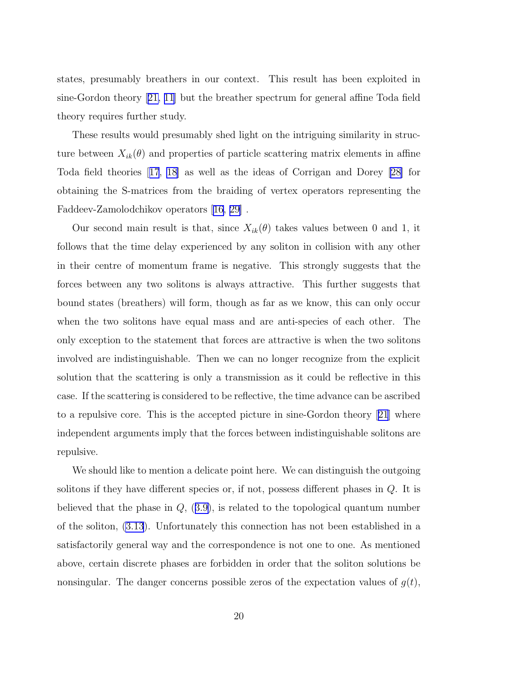states, presumably breathers in our context. This result has been exploited in sine-Gordon theory[[21,](#page-24-0) [11](#page-23-0)] but the breather spectrum for general affine Toda field theory requires further study.

These results would presumably shed light on the intriguing similarity in structure between  $X_{ik}(\theta)$  and properties of particle scattering matrix elements in affine Toda field theories[[17](#page-24-0), [18\]](#page-24-0) as well as the ideas of Corrigan and Dorey [\[28\]](#page-24-0) for obtaining the S-matrices from the braiding of vertex operators representing the Faddeev-Zamolodchikov operators [\[16, 29\]](#page-24-0) .

Our second main result is that, since  $X_{ik}(\theta)$  takes values between 0 and 1, it follows that the time delay experienced by any soliton in collision with any other in their centre of momentum frame is negative. This strongly suggests that the forces between any two solitons is always attractive. This further suggests that bound states (breathers) will form, though as far as we know, this can only occur when the two solitons have equal mass and are anti-species of each other. The only exception to the statement that forces are attractive is when the two solitons involved are indistinguishable. Then we can no longer recognize from the explicit solution that the scattering is only a transmission as it could be reflective in this case. If the scattering is considered to be reflective, the time advance can be ascribed to a repulsive core. This is the accepted picture in sine-Gordon theory[[21](#page-24-0)] where independent arguments imply that the forces between indistinguishable solitons are repulsive.

We should like to mention a delicate point here. We can distinguish the outgoing solitons if they have different species or, if not, possess different phases in Q. It is believed that the phase in  $Q$ ,  $(3.9)$  $(3.9)$ , is related to the topological quantum number of the soliton, [\(3.13](#page-10-0)). Unfortunately this connection has not been established in a satisfactorily general way and the correspondence is not one to one. As mentioned above, certain discrete phases are forbidden in order that the soliton solutions be nonsingular. The danger concerns possible zeros of the expectation values of  $g(t)$ ,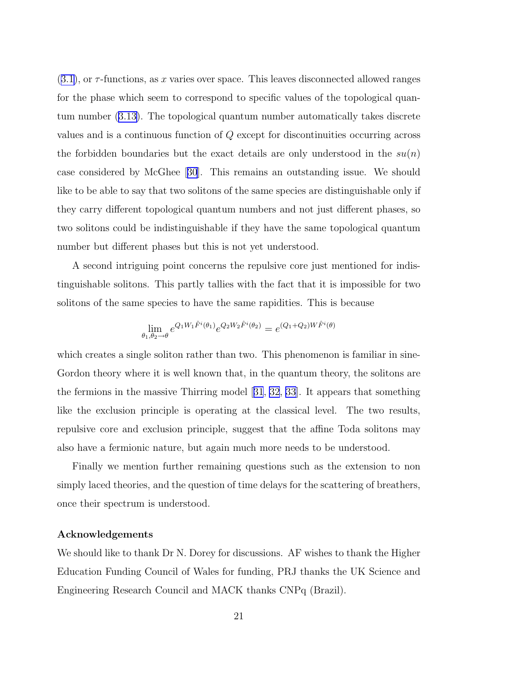$(3.1)$  $(3.1)$ , or  $\tau$ -functions, as x varies over space. This leaves disconnected allowed ranges for the phase which seem to correspond to specific values of the topological quantum number ([3.13\)](#page-10-0). The topological quantum number automatically takes discrete values and is a continuous function of Q except for discontinuities occurring across the forbidden boundaries but the exact details are only understood in the  $su(n)$ case considered by McGhee[[30](#page-25-0)]. This remains an outstanding issue. We should like to be able to say that two solitons of the same species are distinguishable only if they carry different topological quantum numbers and not just different phases, so two solitons could be indistinguishable if they have the same topological quantum number but different phases but this is not yet understood.

A second intriguing point concerns the repulsive core just mentioned for indistinguishable solitons. This partly tallies with the fact that it is impossible for two solitons of the same species to have the same rapidities. This is because

$$
\lim_{\theta_1, \theta_2 \to \theta} e^{Q_1 W_1 \hat{F}^i(\theta_1)} e^{Q_2 W_2 \hat{F}^i(\theta_2)} = e^{(Q_1 + Q_2) W \hat{F}^i(\theta)}
$$

which creates a single soliton rather than two. This phenomenon is familiar in sine-Gordon theory where it is well known that, in the quantum theory, the solitons are the fermions in the massive Thirring model[[31](#page-25-0), [32](#page-25-0), [33\]](#page-25-0). It appears that something like the exclusion principle is operating at the classical level. The two results, repulsive core and exclusion principle, suggest that the affine Toda solitons may also have a fermionic nature, but again much more needs to be understood.

Finally we mention further remaining questions such as the extension to non simply laced theories, and the question of time delays for the scattering of breathers, once their spectrum is understood.

#### Acknowledgements

We should like to thank Dr N. Dorey for discussions. AF wishes to thank the Higher Education Funding Council of Wales for funding, PRJ thanks the UK Science and Engineering Research Council and MACK thanks CNPq (Brazil).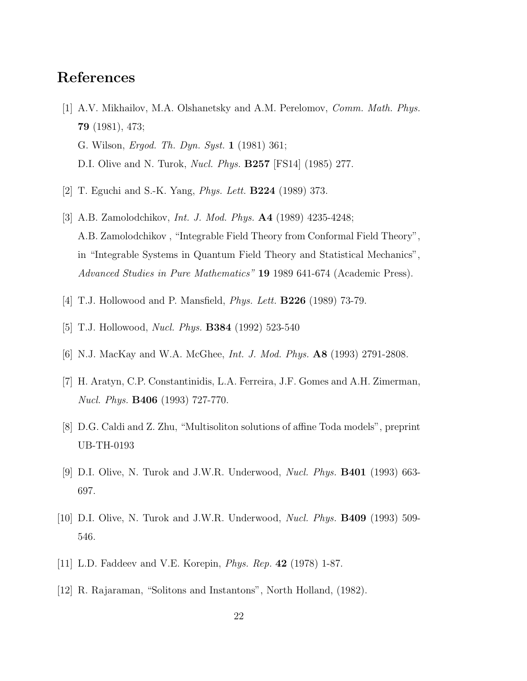### <span id="page-23-0"></span>References

- [1] A.V. Mikhailov, M.A. Olshanetsky and A.M. Perelomov, Comm. Math. Phys. 79 (1981), 473; G. Wilson, Ergod. Th. Dyn. Syst. 1 (1981) 361; D.I. Olive and N. Turok, Nucl. Phys. B257 [FS14] (1985) 277.
- [2] T. Eguchi and S.-K. Yang, Phys. Lett. B224 (1989) 373.
- [3] A.B. Zamolodchikov, Int. J. Mod. Phys. A4 (1989) 4235-4248; A.B. Zamolodchikov , "Integrable Field Theory from Conformal Field Theory", in "Integrable Systems in Quantum Field Theory and Statistical Mechanics", Advanced Studies in Pure Mathematics" 19 1989 641-674 (Academic Press).
- [4] T.J. Hollowood and P. Mansfield, *Phys. Lett.* **B226** (1989) 73-79.
- [5] T.J. Hollowood, Nucl. Phys. B384 (1992) 523-540
- [6] N.J. MacKay and W.A. McGhee, Int. J. Mod. Phys. A8 (1993) 2791-2808.
- [7] H. Aratyn, C.P. Constantinidis, L.A. Ferreira, J.F. Gomes and A.H. Zimerman, Nucl. Phys. B406 (1993) 727-770.
- [8] D.G. Caldi and Z. Zhu, "Multisoliton solutions of affine Toda models", preprint UB-TH-0193
- [9] D.I. Olive, N. Turok and J.W.R. Underwood, Nucl. Phys. B401 (1993) 663- 697.
- [10] D.I. Olive, N. Turok and J.W.R. Underwood, Nucl. Phys. B409 (1993) 509- 546.
- [11] L.D. Faddeev and V.E. Korepin, Phys. Rep. 42 (1978) 1-87.
- [12] R. Rajaraman, "Solitons and Instantons", North Holland, (1982).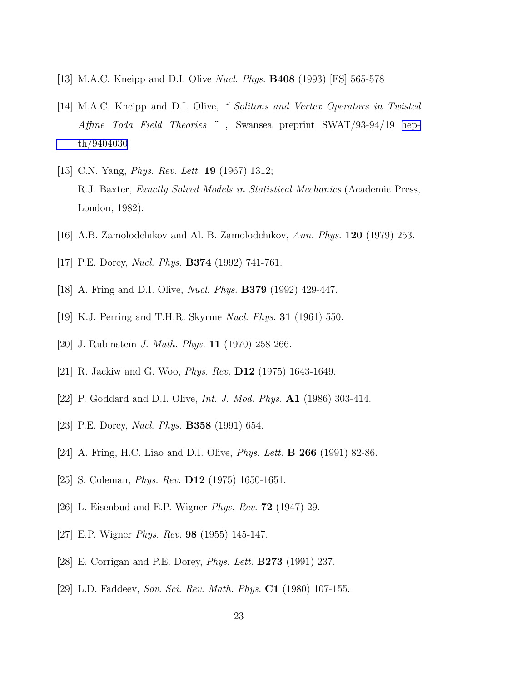- <span id="page-24-0"></span>[13] M.A.C. Kneipp and D.I. Olive Nucl. Phys. B408 (1993) [FS] 565-578
- [14] M.A.C. Kneipp and D.I. Olive, "Solitons and Vertex Operators in Twisted Affine Toda Field Theories " , Swansea preprint SWAT/93-94/19 [hep](http://arXiv.org/abs/hep-th/9404030)[th/9404030](http://arXiv.org/abs/hep-th/9404030).
- [15] C.N. Yang, *Phys. Rev. Lett.* **19** (1967) 1312; R.J. Baxter, Exactly Solved Models in Statistical Mechanics (Academic Press, London, 1982).
- [16] A.B. Zamolodchikov and Al. B. Zamolodchikov, Ann. Phys. 120 (1979) 253.
- [17] P.E. Dorey, *Nucl. Phys.* **B374** (1992) 741-761.
- [18] A. Fring and D.I. Olive, *Nucl. Phys.* **B379** (1992) 429-447.
- [19] K.J. Perring and T.H.R. Skyrme Nucl. Phys. 31 (1961) 550.
- [20] J. Rubinstein J. Math. Phys. 11 (1970) 258-266.
- [21] R. Jackiw and G. Woo, Phys. Rev. D12 (1975) 1643-1649.
- [22] P. Goddard and D.I. Olive, *Int. J. Mod. Phys.* **A1** (1986) 303-414.
- [23] P.E. Dorey, *Nucl. Phys.* **B358** (1991) 654.
- [24] A. Fring, H.C. Liao and D.I. Olive, *Phys. Lett.* **B 266** (1991) 82-86.
- [25] S. Coleman, Phys. Rev. D12 (1975) 1650-1651.
- [26] L. Eisenbud and E.P. Wigner Phys. Rev. 72 (1947) 29.
- [27] E.P. Wigner Phys. Rev. 98 (1955) 145-147.
- [28] E. Corrigan and P.E. Dorey, Phys. Lett. B273 (1991) 237.
- [29] L.D. Faddeev, Sov. Sci. Rev. Math. Phys. C1 (1980) 107-155.